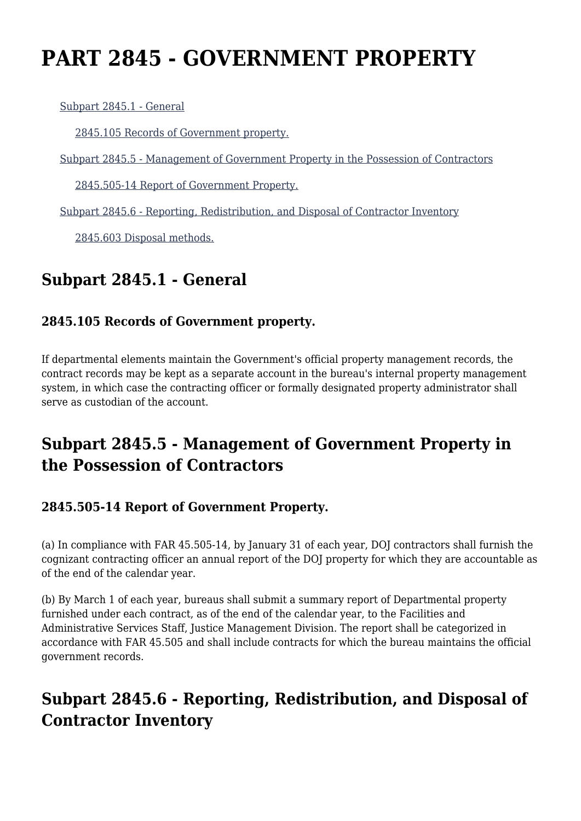# **PART 2845 - GOVERNMENT PROPERTY**

[Subpart 2845.1 - General](https://login.acquisition.gov/%5Brp:link:jar-part-2845%5D#Subpart_2845_1_T48_601166311)

[2845.105 Records of Government property.](https://login.acquisition.gov/%5Brp:link:jar-part-2845%5D#Section_2845_105_T48_60116631111)

[Subpart 2845.5 - Management of Government Property in the Possession of Contractors](https://login.acquisition.gov/%5Brp:link:jar-part-2845%5D#Subpart_2845_5_T48_601166312)

[2845.505-14 Report of Government Property.](https://login.acquisition.gov/%5Brp:link:jar-part-2845%5D#Section_2845_505_14_T48_60116631211)

[Subpart 2845.6 - Reporting, Redistribution, and Disposal of Contractor Inventory](https://login.acquisition.gov/%5Brp:link:jar-part-2845%5D#Subpart_2845_6_T48_601166313)

[2845.603 Disposal methods.](https://login.acquisition.gov/%5Brp:link:jar-part-2845%5D#Section_2845_603_T48_60116631311)

### **Subpart 2845.1 - General**

#### **2845.105 Records of Government property.**

If departmental elements maintain the Government's official property management records, the contract records may be kept as a separate account in the bureau's internal property management system, in which case the contracting officer or formally designated property administrator shall serve as custodian of the account.

### **Subpart 2845.5 - Management of Government Property in the Possession of Contractors**

#### **2845.505-14 Report of Government Property.**

(a) In compliance with FAR 45.505-14, by January 31 of each year, DOJ contractors shall furnish the cognizant contracting officer an annual report of the DOJ property for which they are accountable as of the end of the calendar year.

(b) By March 1 of each year, bureaus shall submit a summary report of Departmental property furnished under each contract, as of the end of the calendar year, to the Facilities and Administrative Services Staff, Justice Management Division. The report shall be categorized in accordance with FAR 45.505 and shall include contracts for which the bureau maintains the official government records.

## **Subpart 2845.6 - Reporting, Redistribution, and Disposal of Contractor Inventory**